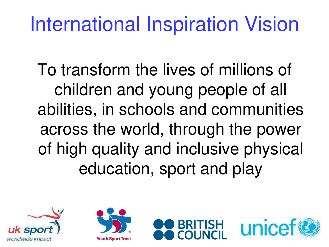## International Inspiration Vision

To transform the lives of millions of children and young people of all abilities, in schools and communities across the world, through the power of high quality and inclusive physical education, sport and play







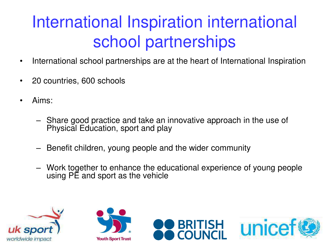## International Inspiration international school partnerships

- International school partnerships are at the heart of International Inspiration
- 20 countries, 600 schools
- Aims:
	- Share good practice and take an innovative approach in the use of Physical Education, sport and play
	- Benefit children, young people and the wider community
	- Work together to enhance the educational experience of young people using PE and sport as the vehicle







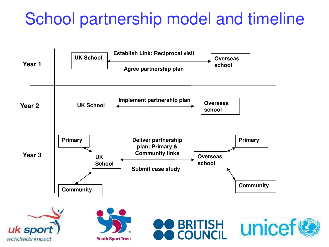## School partnership model and timeline